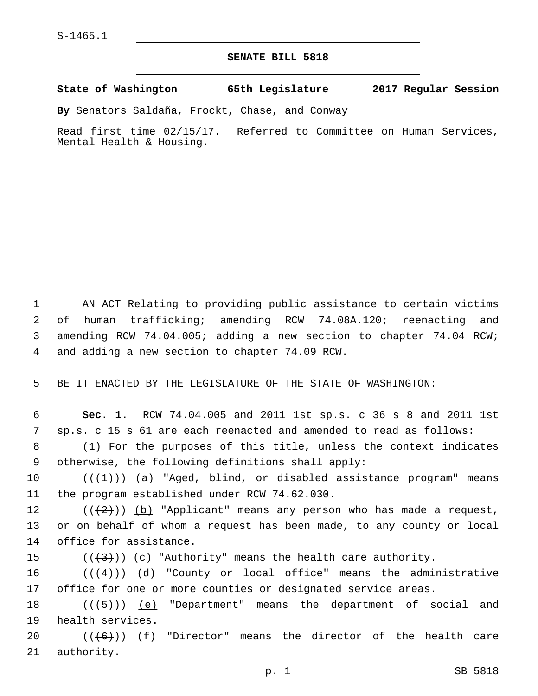## **SENATE BILL 5818**

**State of Washington 65th Legislature 2017 Regular Session**

**By** Senators Saldaña, Frockt, Chase, and Conway

Read first time 02/15/17. Referred to Committee on Human Services, Mental Health & Housing.

 AN ACT Relating to providing public assistance to certain victims of human trafficking; amending RCW 74.08A.120; reenacting and amending RCW 74.04.005; adding a new section to chapter 74.04 RCW; 4 and adding a new section to chapter 74.09 RCW.

5 BE IT ENACTED BY THE LEGISLATURE OF THE STATE OF WASHINGTON:

6 **Sec. 1.** RCW 74.04.005 and 2011 1st sp.s. c 36 s 8 and 2011 1st 7 sp.s. c 15 s 61 are each reenacted and amended to read as follows:

8 (1) For the purposes of this title, unless the context indicates otherwise, the following definitions shall apply:9

10  $((+1))$  (a) "Aged, blind, or disabled assistance program" means 11 the program established under RCW 74.62.030.

12  $((+2)^i)$  <u>(b)</u> "Applicant" means any person who has made a request, 13 or on behalf of whom a request has been made, to any county or local 14 office for assistance.

15 ( $(\overline{+3})$ ) (c) "Authority" means the health care authority.

16  $((+4))$   $(d)$  "County or local office" means the administrative 17 office for one or more counties or designated service areas.

18  $((+5+))$   $(e)$  "Department" means the department of social and 19 health services.

20  $((+6))$   $(f)$  "Director" means the director of the health care 21 authority.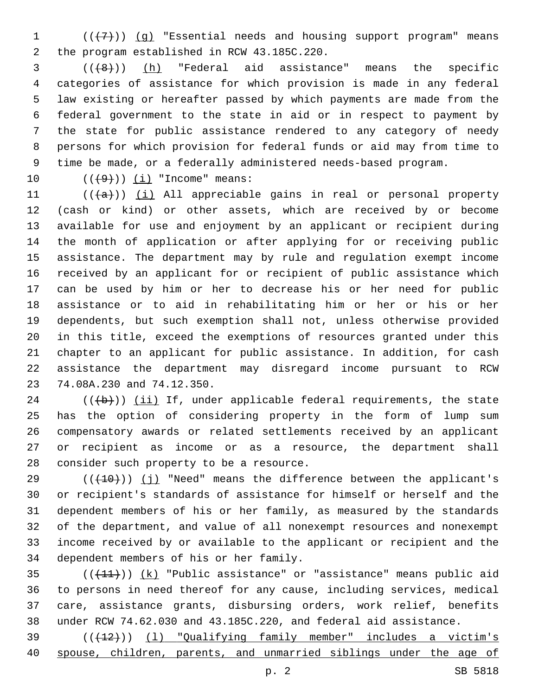1  $((+7))$   $(g)$  "Essential needs and housing support program" means 2 the program established in RCW 43.185C.220.

  $((+8))$   $(h)$  "Federal aid assistance" means the specific categories of assistance for which provision is made in any federal law existing or hereafter passed by which payments are made from the federal government to the state in aid or in respect to payment by the state for public assistance rendered to any category of needy persons for which provision for federal funds or aid may from time to time be made, or a federally administered needs-based program.

10  $((49))$   $(i)$  "Income" means:

 ( $(\overline{+a})$ ) (i) All appreciable gains in real or personal property (cash or kind) or other assets, which are received by or become available for use and enjoyment by an applicant or recipient during the month of application or after applying for or receiving public assistance. The department may by rule and regulation exempt income received by an applicant for or recipient of public assistance which can be used by him or her to decrease his or her need for public assistance or to aid in rehabilitating him or her or his or her dependents, but such exemption shall not, unless otherwise provided in this title, exceed the exemptions of resources granted under this chapter to an applicant for public assistance. In addition, for cash assistance the department may disregard income pursuant to RCW 23 74.08A.230 and 74.12.350.

 (( $\left(\frac{1}{2}+\right)$ ) (ii) If, under applicable federal requirements, the state has the option of considering property in the form of lump sum compensatory awards or related settlements received by an applicant or recipient as income or as a resource, the department shall 28 consider such property to be a resource.

 $((+10))$  (j) "Need" means the difference between the applicant's or recipient's standards of assistance for himself or herself and the dependent members of his or her family, as measured by the standards of the department, and value of all nonexempt resources and nonexempt income received by or available to the applicant or recipient and the 34 dependent members of his or her family.

 $((+11))$   $(k)$  "Public assistance" or "assistance" means public aid to persons in need thereof for any cause, including services, medical care, assistance grants, disbursing orders, work relief, benefits under RCW 74.62.030 and 43.185C.220, and federal aid assistance.

39 (( $(12)$ )) (1) "Qualifying family member" includes a victim's spouse, children, parents, and unmarried siblings under the age of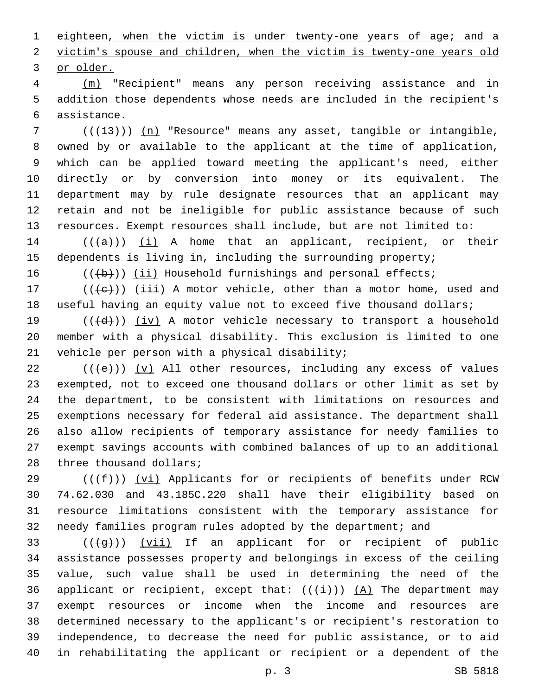1 eighteen, when the victim is under twenty-one years of age; and a victim's spouse and children, when the victim is twenty-one years old 3 or older.

 (m) "Recipient" means any person receiving assistance and in addition those dependents whose needs are included in the recipient's assistance.6

 ( $(\overline{+13})$ ) (n) "Resource" means any asset, tangible or intangible, owned by or available to the applicant at the time of application, which can be applied toward meeting the applicant's need, either directly or by conversion into money or its equivalent. The department may by rule designate resources that an applicant may retain and not be ineligible for public assistance because of such resources. Exempt resources shall include, but are not limited to:

14  $((+a))$   $(i)$  A home that an applicant, recipient, or their dependents is living in, including the surrounding property;

16  $((+b))$  (ii) Household furnishings and personal effects;

17  $((+e))$  ( $(iii)$  A motor vehicle, other than a motor home, used and useful having an equity value not to exceed five thousand dollars;

19  $((+d))$   $(iv)$  A motor vehicle necessary to transport a household member with a physical disability. This exclusion is limited to one 21 vehicle per person with a physical disability;

 $((+e))$  (y) All other resources, including any excess of values exempted, not to exceed one thousand dollars or other limit as set by the department, to be consistent with limitations on resources and exemptions necessary for federal aid assistance. The department shall also allow recipients of temporary assistance for needy families to exempt savings accounts with combined balances of up to an additional 28 three thousand dollars;

 (( $(f+f)$ ) (vi) Applicants for or recipients of benefits under RCW 74.62.030 and 43.185C.220 shall have their eligibility based on resource limitations consistent with the temporary assistance for needy families program rules adopted by the department; and

 ( $(\overline{+q+})$ ) (vii) If an applicant for or recipient of public assistance possesses property and belongings in excess of the ceiling value, such value shall be used in determining the need of the 36 applicant or recipient, except that:  $((+i+))$   $(A)$  The department may exempt resources or income when the income and resources are determined necessary to the applicant's or recipient's restoration to independence, to decrease the need for public assistance, or to aid in rehabilitating the applicant or recipient or a dependent of the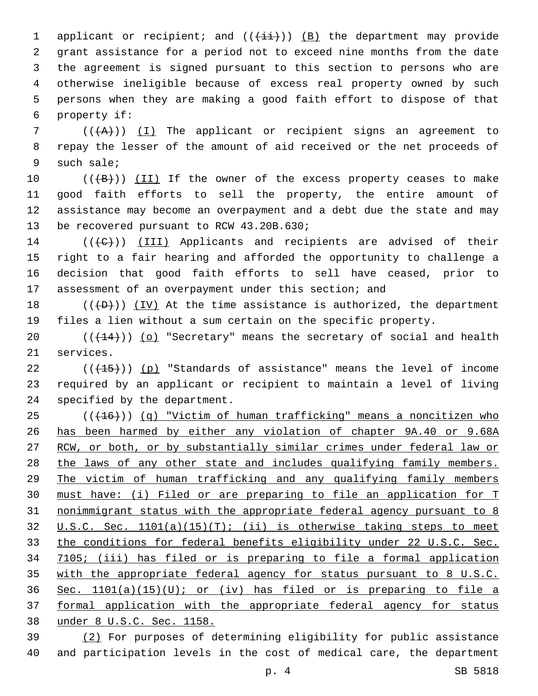1 applicant or recipient; and  $((\pm i)^{n})$  (B) the department may provide grant assistance for a period not to exceed nine months from the date the agreement is signed pursuant to this section to persons who are otherwise ineligible because of excess real property owned by such persons when they are making a good faith effort to dispose of that 6 property if:

7 ( $(\overline{A})$ ) (I) The applicant or recipient signs an agreement to repay the lesser of the amount of aid received or the net proceeds of 9 such sale;

10 (((+B))) (II) If the owner of the excess property ceases to make good faith efforts to sell the property, the entire amount of assistance may become an overpayment and a debt due the state and may 13 be recovered pursuant to RCW 43.20B.630;

14 (((C)) (III) Applicants and recipients are advised of their right to a fair hearing and afforded the opportunity to challenge a decision that good faith efforts to sell have ceased, prior to assessment of an overpayment under this section; and

 $((+D+))$  (IV) At the time assistance is authorized, the department files a lien without a sum certain on the specific property.

 $((+14))$  (o) "Secretary" means the secretary of social and health 21 services.

 $((+15))$  (p) "Standards of assistance" means the level of income required by an applicant or recipient to maintain a level of living 24 specified by the department.

 (( $(16)$ )) (q) "Victim of human trafficking" means a noncitizen who has been harmed by either any violation of chapter 9A.40 or 9.68A 27 RCW, or both, or by substantially similar crimes under federal law or 28 the laws of any other state and includes qualifying family members. The victim of human trafficking and any qualifying family members must have: (i) Filed or are preparing to file an application for T nonimmigrant status with the appropriate federal agency pursuant to 8 U.S.C. Sec. 1101(a)(15)(T); (ii) is otherwise taking steps to meet the conditions for federal benefits eligibility under 22 U.S.C. Sec. 7105; (iii) has filed or is preparing to file a formal application with the appropriate federal agency for status pursuant to 8 U.S.C. 36 Sec.  $1101(a)(15)(U)$ ; or (iv) has filed or is preparing to file a formal application with the appropriate federal agency for status under 8 U.S.C. Sec. 1158.

 (2) For purposes of determining eligibility for public assistance and participation levels in the cost of medical care, the department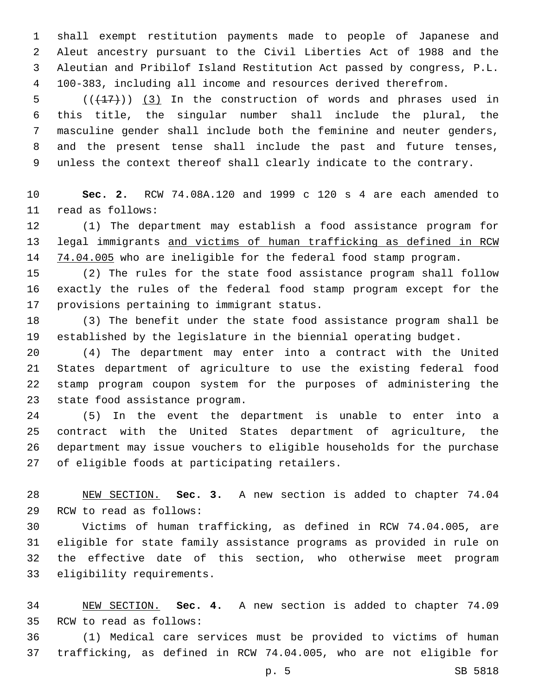shall exempt restitution payments made to people of Japanese and Aleut ancestry pursuant to the Civil Liberties Act of 1988 and the Aleutian and Pribilof Island Restitution Act passed by congress, P.L. 100-383, including all income and resources derived therefrom.

 $((+17))$   $(3)$  In the construction of words and phrases used in this title, the singular number shall include the plural, the masculine gender shall include both the feminine and neuter genders, and the present tense shall include the past and future tenses, unless the context thereof shall clearly indicate to the contrary.

 **Sec. 2.** RCW 74.08A.120 and 1999 c 120 s 4 are each amended to read as follows:11

 (1) The department may establish a food assistance program for legal immigrants and victims of human trafficking as defined in RCW 14 74.04.005 who are ineligible for the federal food stamp program.

 (2) The rules for the state food assistance program shall follow exactly the rules of the federal food stamp program except for the 17 provisions pertaining to immigrant status.

 (3) The benefit under the state food assistance program shall be established by the legislature in the biennial operating budget.

 (4) The department may enter into a contract with the United States department of agriculture to use the existing federal food stamp program coupon system for the purposes of administering the 23 state food assistance program.

 (5) In the event the department is unable to enter into a contract with the United States department of agriculture, the department may issue vouchers to eligible households for the purchase 27 of eligible foods at participating retailers.

 NEW SECTION. **Sec. 3.** A new section is added to chapter 74.04 29 RCW to read as follows:

 Victims of human trafficking, as defined in RCW 74.04.005, are eligible for state family assistance programs as provided in rule on the effective date of this section, who otherwise meet program 33 eligibility requirements.

 NEW SECTION. **Sec. 4.** A new section is added to chapter 74.09 35 RCW to read as follows:

 (1) Medical care services must be provided to victims of human trafficking, as defined in RCW 74.04.005, who are not eligible for